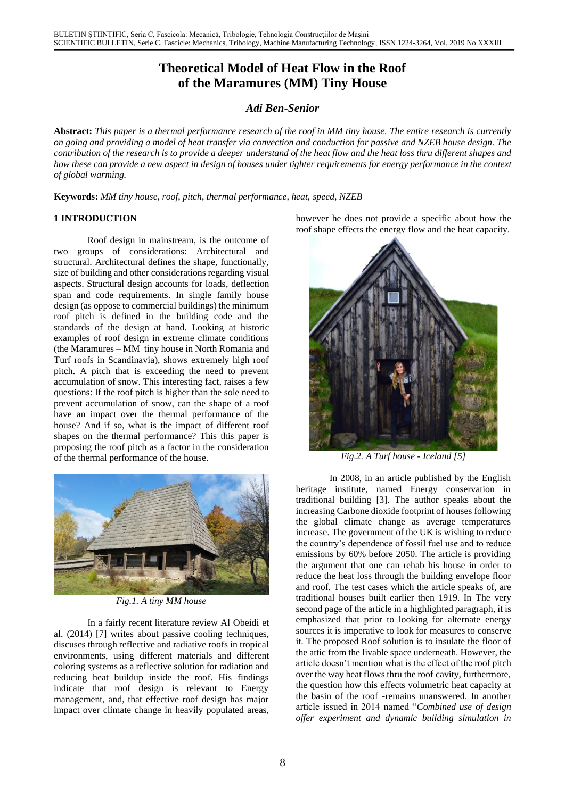# **Theoretical Model of Heat Flow in the Roof of the Maramures (MM) Tiny House**

# *Adi Ben-Senior*

**Abstract:** *This paper is a thermal performance research of the roof in MM tiny house. The entire research is currently on going and providing a model of heat transfer via convection and conduction for passive and NZEB house design. The contribution of the research is to provide a deeper understand of the heat flow and the heat loss thru different shapes and how these can provide a new aspect in design of houses under tighter requirements for energy performance in the context of global warming.*

**Keywords:** *MM tiny house, roof, pitch, thermal performance, heat, speed, NZEB*

## **1 INTRODUCTION**

Roof design in mainstream, is the outcome of two groups of considerations: Architectural and structural. Architectural defines the shape, functionally, size of building and other considerations regarding visual aspects. Structural design accounts for loads, deflection span and code requirements. In single family house design (as oppose to commercial buildings) the minimum roof pitch is defined in the building code and the standards of the design at hand. Looking at historic examples of roof design in extreme climate conditions (the Maramures – MM tiny house in North Romania and Turf roofs in Scandinavia), shows extremely high roof pitch. A pitch that is exceeding the need to prevent accumulation of snow. This interesting fact, raises a few questions: If the roof pitch is higher than the sole need to prevent accumulation of snow, can the shape of a roof have an impact over the thermal performance of the house? And if so, what is the impact of different roof shapes on the thermal performance? This this paper is proposing the roof pitch as a factor in the consideration of the thermal performance of the house.



*Fig.1. A tiny MM house*

In a fairly recent literature review Al Obeidi et al. (2014) [7] writes about passive cooling techniques, discuses through reflective and radiative roofs in tropical environments, using different materials and different coloring systems as a reflective solution for radiation and reducing heat buildup inside the roof. His findings indicate that roof design is relevant to Energy management, and, that effective roof design has major impact over climate change in heavily populated areas, however he does not provide a specific about how the roof shape effects the energy flow and the heat capacity.



*Fig.2. A Turf house - Iceland [5]*

In 2008, in an article published by the English heritage institute, named Energy conservation in traditional building [3]. The author speaks about the increasing Carbone dioxide footprint of houses following the global climate change as average temperatures increase. The government of the UK is wishing to reduce the country's dependence of fossil fuel use and to reduce emissions by 60% before 2050. The article is providing the argument that one can rehab his house in order to reduce the heat loss through the building envelope floor and roof. The test cases which the article speaks of, are traditional houses built earlier then 1919. In The very second page of the article in a highlighted paragraph, it is emphasized that prior to looking for alternate energy sources it is imperative to look for measures to conserve it. The proposed Roof solution is to insulate the floor of the attic from the livable space underneath. However, the article doesn't mention what is the effect of the roof pitch over the way heat flows thru the roof cavity, furthermore, the question how this effects volumetric heat capacity at the basin of the roof -remains unanswered. In another article issued in 2014 named "*Combined use of design offer experiment and dynamic building simulation in*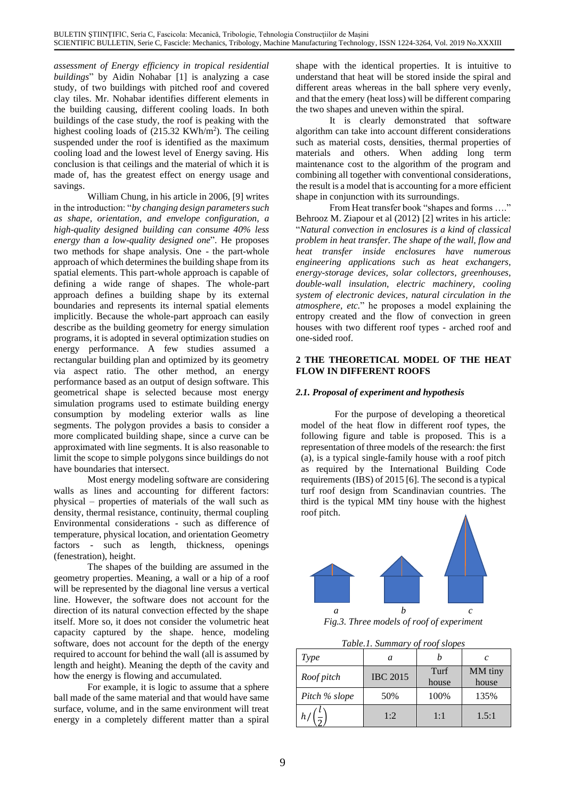*assessment of Energy efficiency in tropical residential buildings*" by Aidin Nohabar [1] is analyzing a case study, of two buildings with pitched roof and covered clay tiles. Mr. Nohabar identifies different elements in the building causing, different cooling loads. In both buildings of the case study, the roof is peaking with the highest cooling loads of (215.32 KWh/m<sup>2</sup>). The ceiling suspended under the roof is identified as the maximum cooling load and the lowest level of Energy saving. His conclusion is that ceilings and the material of which it is made of, has the greatest effect on energy usage and savings.

William Chung, in his article in 2006, [9] writes in the introduction: "*by changing design parameters such as shape, orientation, and envelope configuration, a high-quality designed building can consume 40% less energy than a low-quality designed one*". He proposes two methods for shape analysis. One - the part-whole approach of which determines the building shape from its spatial elements. This part-whole approach is capable of defining a wide range of shapes. The whole-part approach defines a building shape by its external boundaries and represents its internal spatial elements implicitly. Because the whole-part approach can easily describe as the building geometry for energy simulation programs, it is adopted in several optimization studies on energy performance. A few studies assumed a rectangular building plan and optimized by its geometry via aspect ratio. The other method, an energy performance based as an output of design software. This geometrical shape is selected because most energy simulation programs used to estimate building energy consumption by modeling exterior walls as line segments. The polygon provides a basis to consider a more complicated building shape, since a curve can be approximated with line segments. It is also reasonable to limit the scope to simple polygons since buildings do not have boundaries that intersect.

Most energy modeling software are considering walls as lines and accounting for different factors: physical – properties of materials of the wall such as density, thermal resistance, continuity, thermal coupling Environmental considerations - such as difference of temperature, physical location, and orientation Geometry factors - such as length, thickness, openings (fenestration), height.

The shapes of the building are assumed in the geometry properties. Meaning, a wall or a hip of a roof will be represented by the diagonal line versus a vertical line. However, the software does not account for the direction of its natural convection effected by the shape itself. More so, it does not consider the volumetric heat capacity captured by the shape. hence, modeling software, does not account for the depth of the energy required to account for behind the wall (all is assumed by length and height). Meaning the depth of the cavity and how the energy is flowing and accumulated.

For example, it is logic to assume that a sphere ball made of the same material and that would have same surface, volume, and in the same environment will treat energy in a completely different matter than a spiral shape with the identical properties. It is intuitive to understand that heat will be stored inside the spiral and different areas whereas in the ball sphere very evenly, and that the emery (heat loss) will be different comparing the two shapes and uneven within the spiral.

It is clearly demonstrated that software algorithm can take into account different considerations such as material costs, densities, thermal properties of materials and others. When adding long term maintenance cost to the algorithm of the program and combining all together with conventional considerations, the result is a model that is accounting for a more efficient shape in conjunction with its surroundings.

From Heat transfer book "shapes and forms …." Behrooz M. Ziapour et al (2012) [2] writes in his article: "*Natural convection in enclosures is a kind of classical problem in heat transfer. The shape of the wall, flow and heat transfer inside enclosures have numerous engineering applications such as heat exchangers, energy-storage devices, solar collectors, greenhouses, double-wall insulation, electric machinery, cooling system of electronic devices, natural circulation in the atmosphere, etc.*" he proposes a model explaining the entropy created and the flow of convection in green houses with two different roof types - arched roof and one-sided roof.

## **2 THE THEORETICAL MODEL OF THE HEAT FLOW IN DIFFERENT ROOFS**

# *2.1. Proposal of experiment and hypothesis*

For the purpose of developing a theoretical model of the heat flow in different roof types, the following figure and table is proposed. This is a representation of three models of the research: the first (a), is a typical single-family house with a roof pitch as required by the International Building Code requirements (IBS) of 2015 [6]. The second is a typical turf roof design from Scandinavian countries. The third is the typical MM tiny house with the highest roof pitch.



*Fig.3. Three models of roof of experiment*

*Table.1. Summary of roof slopes*

| Type          | a               |               | C                |
|---------------|-----------------|---------------|------------------|
| Roof pitch    | <b>IBC 2015</b> | Turf<br>house | MM tiny<br>house |
| Pitch % slope | 50%             | 100%          | 135%             |
|               | 1:2             | 1:1           | 1.5:1            |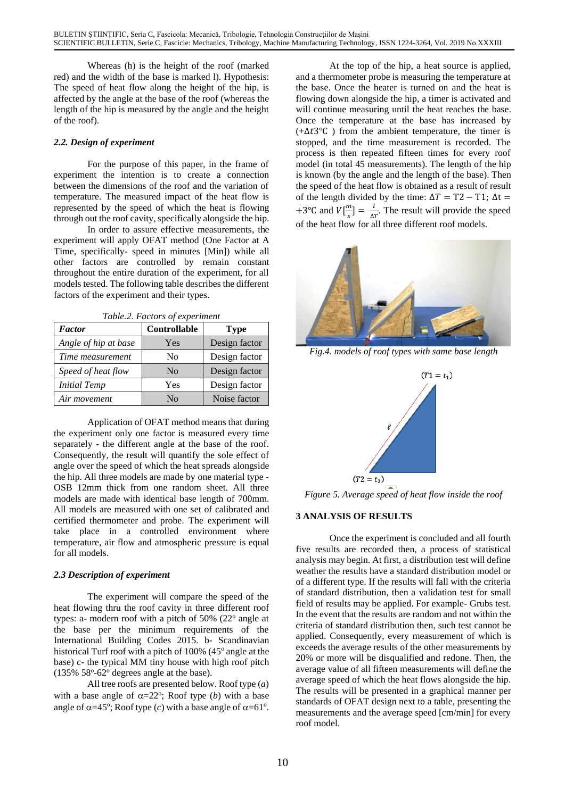Whereas (h) is the height of the roof (marked red) and the width of the base is marked l). Hypothesis: The speed of heat flow along the height of the hip, is affected by the angle at the base of the roof (whereas the length of the hip is measured by the angle and the height of the roof).

## *2.2. Design of experiment*

For the purpose of this paper, in the frame of experiment the intention is to create a connection between the dimensions of the roof and the variation of temperature. The measured impact of the heat flow is represented by the speed of which the heat is flowing through out the roof cavity, specifically alongside the hip.

In order to assure effective measurements, the experiment will apply OFAT method (One Factor at A Time, specifically- speed in minutes [Min]) while all other factors are controlled by remain constant throughout the entire duration of the experiment, for all models tested. The following table describes the different factors of the experiment and their types.

| Tuble.2. Puttors of experiment |                |               |  |
|--------------------------------|----------------|---------------|--|
| <b>Factor</b>                  | Controllable   | <b>Type</b>   |  |
| Angle of hip at base           | Yes            | Design factor |  |
| Time measurement               | N <sub>0</sub> | Design factor |  |
| Speed of heat flow             | N <sub>o</sub> | Design factor |  |
| <b>Initial Temp</b>            | Yes            | Design factor |  |
| Air movement                   | No             | Noise factor  |  |

*Table.2. Factors of experiment*

Application of OFAT method means that during the experiment only one factor is measured every time separately - the different angle at the base of the roof. Consequently, the result will quantify the sole effect of angle over the speed of which the heat spreads alongside the hip. All three models are made by one material type - OSB 12mm thick from one random sheet. All three models are made with identical base length of 700mm. All models are measured with one set of calibrated and certified thermometer and probe. The experiment will take place in a controlled environment where temperature, air flow and atmospheric pressure is equal for all models.

#### *2.3 Description of experiment*

The experiment will compare the speed of the heat flowing thru the roof cavity in three different roof types: a- modern roof with a pitch of  $50\%$  ( $22^{\circ}$  angle at the base per the minimum requirements of the International Building Codes 2015. b- Scandinavian historical Turf roof with a pitch of  $100\%$  (45 $^{\circ}$  angle at the base) c- the typical MM tiny house with high roof pitch  $(135\% 58<sup>o</sup>-62<sup>o</sup>$  degrees angle at the base).

All tree roofs are presented below. Roof type (*a*) with a base angle of  $\alpha = 22^\circ$ ; Roof type (*b*) with a base angle of  $\alpha = 45^\circ$ ; Roof type (*c*) with a base angle of  $\alpha = 61^\circ$ .

At the top of the hip, a heat source is applied, and a thermometer probe is measuring the temperature at the base. Once the heater is turned on and the heat is flowing down alongside the hip, a timer is activated and will continue measuring until the heat reaches the base. Once the temperature at the base has increased by (+ $\Delta t$ 3<sup>°</sup>C) from the ambient temperature, the timer is stopped, and the time measurement is recorded. The process is then repeated fifteen times for every roof model (in total 45 measurements). The length of the hip is known (by the angle and the length of the base). Then the speed of the heat flow is obtained as a result of result of the length divided by the time:  $\Delta T = T2 - T1$ ;  $\Delta t =$ +3°C and  $V[\frac{m}{2}]$  $\frac{m}{s}$ ] =  $\frac{l}{\Delta s}$  $\frac{\iota}{\Delta T}$ . The result will provide the speed of the heat flow for all three different roof models.



*Fig.4. models of roof types with same base length*



*Figure 5. Average speed of heat flow inside the roof*

# **3 ANALYSIS OF RESULTS**

Once the experiment is concluded and all fourth five results are recorded then, a process of statistical analysis may begin. At first, a distribution test will define weather the results have a standard distribution model or of a different type. If the results will fall with the criteria of standard distribution, then a validation test for small field of results may be applied. For example- Grubs test. In the event that the results are random and not within the criteria of standard distribution then, such test cannot be applied. Consequently, every measurement of which is exceeds the average results of the other measurements by 20% or more will be disqualified and redone. Then, the average value of all fifteen measurements will define the average speed of which the heat flows alongside the hip. The results will be presented in a graphical manner per standards of OFAT design next to a table, presenting the measurements and the average speed [cm/min] for every roof model.